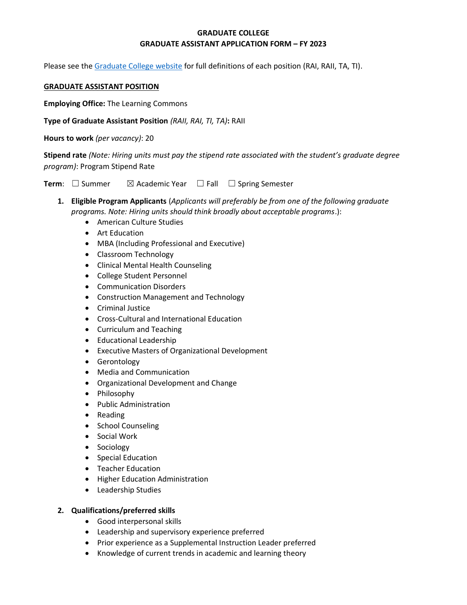# **GRADUATE COLLEGE GRADUATE ASSISTANT APPLICATION FORM – FY 2023**

Please see the [Graduate College website](https://www.bgsu.edu/content/dam/BGSU/graduate-college/GADocs/Grad-Col-GA-Position-Descriptions-21-22.pdf) for full definitions of each position (RAI, RAII, TA, TI).

#### **GRADUATE ASSISTANT POSITION**

**Employing Office:** The Learning Commons

**Type of Graduate Assistant Position** *(RAII, RAI, TI, TA)***:** RAII

**Hours to work** *(per vacancy)*: 20

**Stipend rate** *(Note: Hiring units must pay the stipend rate associated with the student's graduate degree program)*: Program Stipend Rate

**Term**: □ Summer  $\boxtimes$  Academic Year □ Fall □ Spring Semester

- **1. Eligible Program Applicants** (*Applicants will preferably be from one of the following graduate programs. Note: Hiring units should think broadly about acceptable programs*.):
	- American Culture Studies
	- Art Education
	- MBA (Including Professional and Executive)
	- Classroom Technology
	- Clinical Mental Health Counseling
	- College Student Personnel
	- Communication Disorders
	- Construction Management and Technology
	- Criminal Justice
	- Cross-Cultural and International Education
	- Curriculum and Teaching
	- Educational Leadership
	- Executive Masters of Organizational Development
	- Gerontology
	- Media and Communication
	- Organizational Development and Change
	- Philosophy
	- Public Administration
	- Reading
	- School Counseling
	- Social Work
	- Sociology
	- Special Education
	- Teacher Education
	- Higher Education Administration
	- Leadership Studies

### **2. Qualifications/preferred skills**

- Good interpersonal skills
- Leadership and supervisory experience preferred
- Prior experience as a Supplemental Instruction Leader preferred
- Knowledge of current trends in academic and learning theory